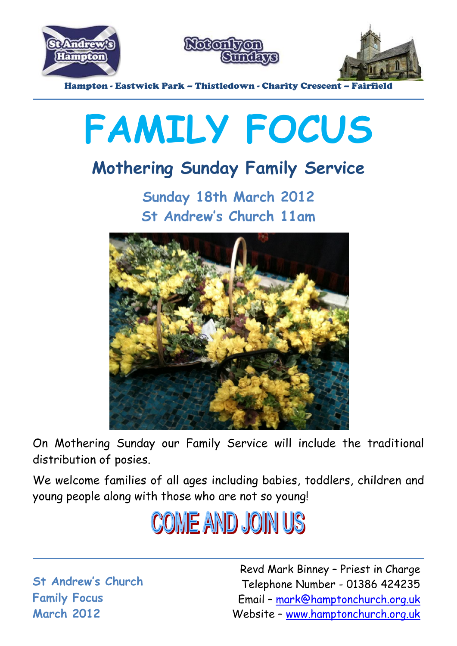





Hampton - Eastwick Park – Thistledown - Charity Crescent – Fairfield

# **FAMILY FOCUS**

## **Mothering Sunday Family Service**

**Sunday 18th March 2012 St Andrew's Church 11am**



On Mothering Sunday our Family Service will include the traditional distribution of posies.

We welcome families of all ages including babies, toddlers, children and young people along with those who are not so young!



**St Andrew's Church Family Focus March 2012**

Revd Mark Binney – Priest in Charge Telephone Number - 01386 424235 Email – mark@hamptonchurch.org.uk Website – www.hamptonchurch.org.uk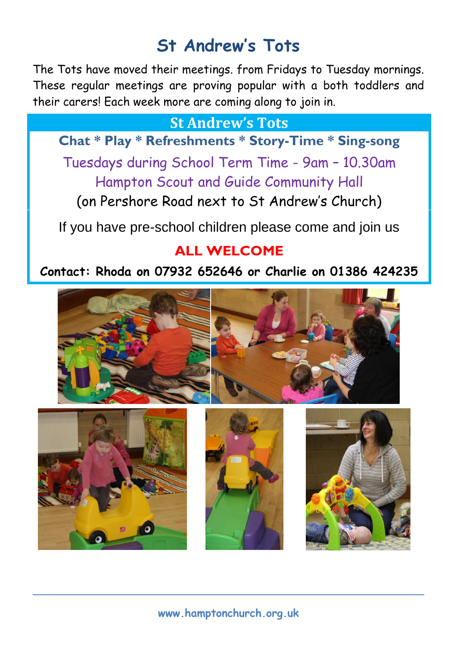### **St Andrew's Tots**

The Tots have moved their meetings. from Fridays to Tuesday mornings. These regular meetings are proving popular with a both toddlers and their carers! Each week more are coming along to join in.

#### **St Andrew's Tots**

**Chat \* Play \* Refreshments \* Story-Time \* Sing-song**

Tuesdays during School Term Time - 9am – 10.30am Hampton Scout and Guide Community Hall

(on Pershore Road next to St Andrew's Church)

If you have pre-school children please come and join us

#### **ALL WELCOME**

#### **Contact: Rhoda on 07932 652646 or Charlie on 01386 424235**



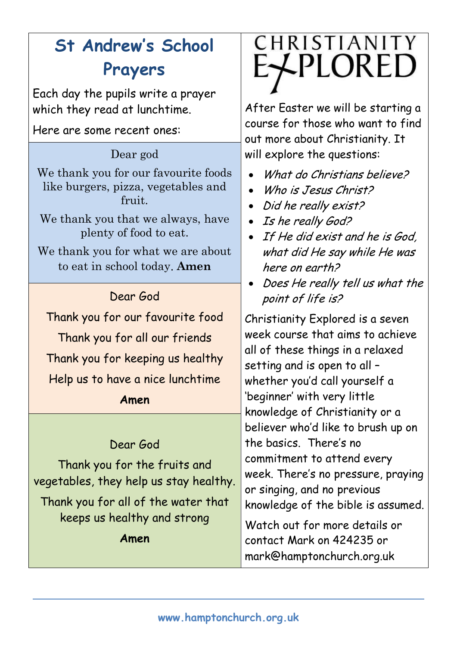## **St Andrew's School Prayers**

Each day the pupils write a prayer which they read at lunchtime.

Here are some recent ones:

#### Dear god

We thank you for our favourite foods like burgers, pizza, vegetables and fruit.

We thank you that we always, have plenty of food to eat.

We thank you for what we are about to eat in school today. **Amen**

#### Dear God

Thank you for our favourite food Thank you for all our friends Thank you for keeping us healthy Help us to have a nice lunchtime

#### **Amen**

#### Dear God

Thank you for the fruits and vegetables, they help us stay healthy. Thank you for all of the water that keeps us healthy and strong **Amen**

## CHRISTIANITY **E**XPLORED

After Easter we will be starting a course for those who want to find out more about Christianity. It will explore the questions:

- What do Christians believe?
- Who is Jesus Christ?
- Did he really exist?
- Is he really God?
- If He did exist and he is God, what did He say while He was here on earth?
- Does He really tell us what the point of life is?

Christianity Explored is a seven week course that aims to achieve all of these things in a relaxed setting and is open to all – whether you'd call yourself a 'beginner' with very little knowledge of Christianity or a believer who'd like to brush up on the basics. There's no commitment to attend every week. There's no pressure, praying or singing, and no previous knowledge of the bible is assumed.

Watch out for more details or contact Mark on 424235 or mark@hamptonchurch.org.uk